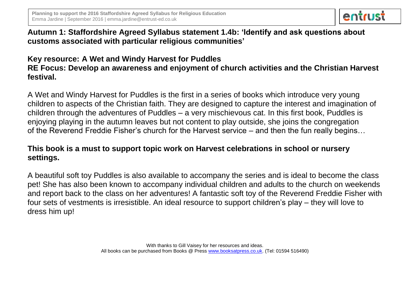

# **Autumn 1: Staffordshire Agreed Syllabus statement 1.4b: 'Identify and ask questions about customs associated with particular religious communities'**

# **Key resource: A Wet and Windy Harvest for Puddles RE Focus: Develop an awareness and enjoyment of church activities and the Christian Harvest festival.**

A Wet and Windy Harvest for Puddles is the first in a series of books which introduce very young children to aspects of the Christian faith. They are designed to capture the interest and imagination of children through the adventures of Puddles – a very mischievous cat. In this first book, Puddles is enjoying playing in the autumn leaves but not content to play outside, she joins the congregation of the Reverend Freddie Fisher's church for the Harvest service – and then the fun really begins…

# **This book is a must to support topic work on Harvest celebrations in school or nursery settings.**

A beautiful soft toy Puddles is also available to accompany the series and is ideal to become the class pet! She has also been known to accompany individual children and adults to the church on weekends and report back to the class on her adventures! A fantastic soft toy of the Reverend Freddie Fisher with four sets of vestments is irresistible. An ideal resource to support children's play – they will love to dress him up!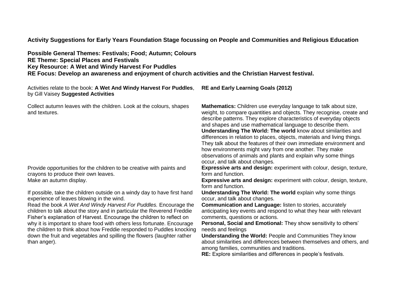**Activity Suggestions for Early Years Foundation Stage focussing on People and Communities and Religious Education**

| Possible General Themes: Festivals; Food; Autumn; Colours                                             |
|-------------------------------------------------------------------------------------------------------|
| <b>RE Theme: Special Places and Festivals</b>                                                         |
| Key Resource: A Wet and Windy Harvest For Puddles                                                     |
| RE Focus: Develop an awareness and enjoyment of church activities and the Christian Harvest festival. |

Activities relate to the book: **A Wet And Windy Harvest For Puddles**, by Gill Vaisey **Suggested Activities** 

Collect autumn leaves with the children. Look at the colours, shapes and textures.

Provide opportunities for the children to be creative with paints and crayons to produce their own leaves.<br>Make an autumn display.

If possible, take the children outside on a windy day to have first hand experience of leaves blowing in the wind.

Read the book *A Wet And Windy Harvest For Puddles.* Encourage the children to talk about the story and in particular the Reverend Freddie Fisher's explanation of Harvest. Encourage the children to reflect on why it is important to share food with others less fortunate. Encourage the children to think about how Freddie responded to Puddles knocking down the fruit and vegetables and spilling the flowers (laughter rather than anger).

**RE and Early Learning Goals (2012)** 

**Mathematics:** Children use everyday language to talk about size, weight, to compare quantities and objects. They recognise, create and describe patterns. They explore characteristics of everyday objects and shapes and use mathematical language to describe them. **Understanding The World: The world** know about similarities and differences in relation to places, objects, materials and living things. They talk about the features of their own immediate environment and how environments might vary from one another. They make observations of animals and plants and explain why some things occur, and talk about changes.

**Expressive arts and design:** experiment with colour, design, texture, form and function.

**Expressive arts and design: experiment with colour, design, texture,** form and function.

**Understanding The World: The world explain why some things** occur, and talk about changes.

**Communication and Language:** listen to stories, accurately anticipating key events and respond to what they hear with relevant comments, questions or actions.

**Personal, Social and Emotional:** They show sensitivity to others' needs and feelings

**Understanding the World:** People and Communities They know about similarities and differences between themselves and others, and among families, communities and traditions.

**RE:** Explore similarities and differences in people's festivals.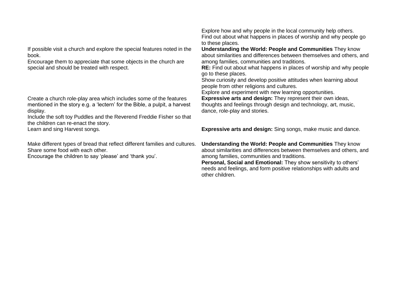If possible visit a church and explore the special features noted in the book.

Encourage them to appreciate that some objects in the church are special and should be treated with respect.

Create a church role-play area which includes some of the features mentioned in the story e.g. a 'lectern' for the Bible, a pulpit, a harvest display.

Include the soft toy Puddles and the Reverend Freddie Fisher so that the children can re-enact the story.

Make different types of bread that reflect different families and cultures. Share some food with each other.

Encourage the children to say 'please' and 'thank you'.

Explore how and why people in the local community help others. Find out about what happens in places of worship and why people go to these places.

**Understanding the World: People and Communities** They know about similarities and differences between themselves and others, and among families, communities and traditions.

**RE:** Find out about what happens in places of worship and why people go to these places.

Show curiosity and develop positive attitudes when learning about people from other religions and cultures.

Explore and experiment with new learning opportunities.

**Expressive arts and design:** They represent their own ideas, thoughts and feelings through design and technology, art, music, dance, role-play and stories.

Learn and sing Harvest songs. **Expressive arts and design:** Sing songs, make music and dance.

**Understanding the World: People and Communities** They know about similarities and differences between themselves and others, and among families, communities and traditions.

**Personal, Social and Emotional:** They show sensitivity to others' needs and feelings, and form positive relationships with adults and other children.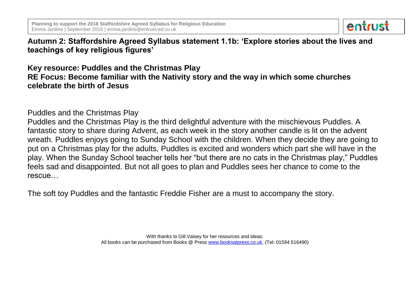

**Autumn 2: Staffordshire Agreed Syllabus statement 1.1b: 'Explore stories about the lives and teachings of key religious figures'**

**Key resource: Puddles and the Christmas Play RE Focus: Become familiar with the Nativity story and the way in which some churches celebrate the birth of Jesus** 

Puddles and the Christmas Play

Puddles and the Christmas Play is the third delightful adventure with the mischievous Puddles. A fantastic story to share during Advent, as each week in the story another candle is lit on the advent wreath. Puddles enjoys going to Sunday School with the children. When they decide they are going to put on a Christmas play for the adults, Puddles is excited and wonders which part she will have in the play. When the Sunday School teacher tells her "but there are no cats in the Christmas play," Puddles feels sad and disappointed. But not all goes to plan and Puddles sees her chance to come to the rescue…

The soft toy Puddles and the fantastic Freddie Fisher are a must to accompany the story.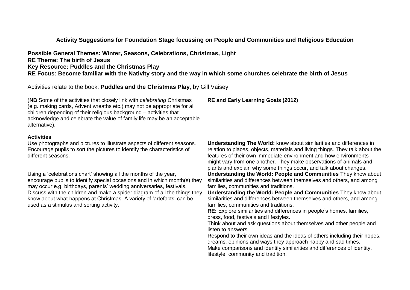### **Activity Suggestions for Foundation Stage focussing on People and Communities and Religious Education**

**Possible General Themes: Winter, Seasons, Celebrations, Christmas, Light RE Theme: The birth of Jesus Key Resource: Puddles and the Christmas Play RE Focus: Become familiar with the Nativity story and the way in which some churches celebrate the birth of Jesus** 

Activities relate to the book: **Puddles and the Christmas Play**, by Gill Vaisey

(**NB** Some of the activities that closely link with *celebrating* Christmas (e.g. making cards, Advent wreaths etc.) may not be appropriate for all children depending of their religious background – activities that acknowledge and celebrate the value of family life may be an acceptable alternative).

#### **Activities**

Use photographs and pictures to illustrate aspects of different seasons. Encourage pupils to sort the pictures to identify the characteristics of different seasons.

Using a 'celebrations chart' showing all the months of the year, encourage pupils to identify special occasions and in which month(s) they may occur e.g. birthdays, parents' wedding anniversaries, festivals. Discuss with the children and make a spider diagram of all the things they know about what happens at Christmas. A variety of 'artefacts' can be used as a stimulus and sorting activity.

**RE and Early Learning Goals (2012)** 

**Understanding The World:** know about similarities and differences in relation to places, objects, materials and living things. They talk about the features of their own immediate environment and how environments might vary from one another. They make observations of animals and plants and explain why some things occur, and talk about changes. **Understanding the World: People and Communities** They know about similarities and differences between themselves and others, and among families, communities and traditions.

**Understanding the World: People and Communities** They know about similarities and differences between themselves and others, and among families, communities and traditions.

**RE:** Explore similarities and differences in people's homes, families, dress, food, festivals and lifestyles.

Think about and ask questions about themselves and other people and listen to answers.

Respond to their own ideas and the ideas of others including their hopes, dreams, opinions and ways they approach happy and sad times. Make comparisons and identify similarities and differences of identity, lifestyle, community and tradition.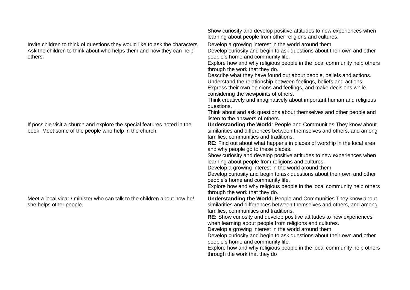Invite children to think of questions they would like to ask the characters. Ask the children to think about who helps them and how they can help others.

If possible visit a church and explore the special features noted in the book. Meet some of the people who help in the church.

Meet a local vicar / minister who can talk to the children about how he/ she helps other people.

Show curiosity and develop positive attitudes to new experiences when learning about people from other religions and cultures.

Develop a growing interest in the world around them.

Develop curiosity and begin to ask questions about their own and other people's home and community life.

Explore how and why religious people in the local community help others through the work that they do.

Describe what they have found out about people, beliefs and actions. Understand the relationship between feelings, beliefs and actions.

Express their own opinions and feelings, and make decisions while considering the viewpoints of others.

Think creatively and imaginatively about important human and religious questions.

Think about and ask questions about themselves and other people and listen to the answers of others.

**Understanding the World**: People and Communities They know about similarities and differences between themselves and others, and among families, communities and traditions.

**RE:** Find out about what happens in places of worship in the local area and why people go to these places.

Show curiosity and develop positive attitudes to new experiences when learning about people from religions and cultures.

Develop a growing interest in the world around them.

Develop curiosity and begin to ask questions about their own and other people's home and community life.

Explore how and why religious people in the local community help others through the work that they do.

**Understanding the World:** People and Communities They know about similarities and differences between themselves and others, and among families, communities and traditions.

**RE:** Show curiosity and develop positive attitudes to new experiences when learning about people from religions and cultures.

Develop a growing interest in the world around them.

Develop curiosity and begin to ask questions about their own and other people's home and community life.

Explore how and why religious people in the local community help others through the work that they do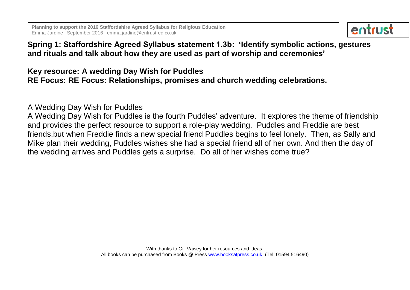

# **Spring 1: Staffordshire Agreed Syllabus statement 1.3b: 'Identify symbolic actions, gestures and rituals and talk about how they are used as part of worship and ceremonies'**

**Key resource: A wedding Day Wish for Puddles RE Focus: RE Focus: Relationships, promises and church wedding celebrations.**

A Wedding Day Wish for Puddles

A Wedding Day Wish for Puddles is the fourth Puddles' adventure. It explores the theme of friendship and provides the perfect resource to support a role-play wedding. Puddles and Freddie are best friends.but when Freddie finds a new special friend Puddles begins to feel lonely. Then, as Sally and Mike plan their wedding, Puddles wishes she had a special friend all of her own. And then the day of the wedding arrives and Puddles gets a surprise. Do all of her wishes come true?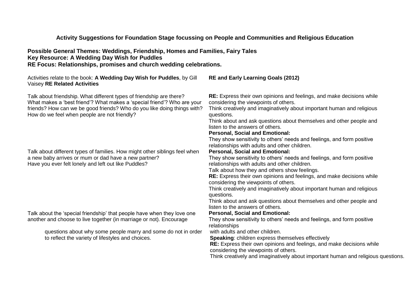## **Activity Suggestions for Foundation Stage focussing on People and Communities and Religious Education**

### **Possible General Themes: Weddings, Friendship, Homes and Families, Fairy Tales Key Resource: A Wedding Day Wish for Puddles RE Focus: Relationships, promises and church wedding celebrations.**

| Activities relate to the book: A Wedding Day Wish for Puddles, by Gill<br>Vaisey RE Related Activities                                                                                                                                                                     | <b>RE and Early Learning Goals (2012)</b>                                                                                                                                                                                                                                                                                                                                                                                                                                                                                               |
|----------------------------------------------------------------------------------------------------------------------------------------------------------------------------------------------------------------------------------------------------------------------------|-----------------------------------------------------------------------------------------------------------------------------------------------------------------------------------------------------------------------------------------------------------------------------------------------------------------------------------------------------------------------------------------------------------------------------------------------------------------------------------------------------------------------------------------|
| Talk about friendship. What different types of friendship are there?<br>What makes a 'best friend'? What makes a 'special friend'? Who are your<br>friends? How can we be good friends? Who do you like doing things with?<br>How do we feel when people are not friendly? | RE: Express their own opinions and feelings, and make decisions while<br>considering the viewpoints of others.<br>Think creatively and imaginatively about important human and religious<br>questions.<br>Think about and ask questions about themselves and other people and<br>listen to the answers of others.<br><b>Personal, Social and Emotional:</b><br>They show sensitivity to others' needs and feelings, and form positive<br>relationships with adults and other children.                                                  |
| Talk about different types of families. How might other siblings feel when<br>a new baby arrives or mum or dad have a new partner?<br>Have you ever felt lonely and left out like Puddles?                                                                                 | <b>Personal, Social and Emotional:</b><br>They show sensitivity to others' needs and feelings, and form positive<br>relationships with adults and other children.<br>Talk about how they and others show feelings.<br>RE: Express their own opinions and feelings, and make decisions while<br>considering the viewpoints of others.<br>Think creatively and imaginatively about important human and religious<br>questions.<br>Think about and ask questions about themselves and other people and<br>listen to the answers of others. |
| Talk about the 'special friendship' that people have when they love one<br>another and choose to live together (in marriage or not). Encourage                                                                                                                             | <b>Personal, Social and Emotional:</b><br>They show sensitivity to others' needs and feelings, and form positive<br>relationships                                                                                                                                                                                                                                                                                                                                                                                                       |
| questions about why some people marry and some do not in order<br>to reflect the variety of lifestyles and choices.                                                                                                                                                        | with adults and other children.<br><b>Speaking: children express themselves effectively</b><br><b>RE:</b> Express their own opinions and feelings, and make decisions while<br>considering the viewpoints of others.<br>Think creatively and imaginatively about important human and religious questions.                                                                                                                                                                                                                               |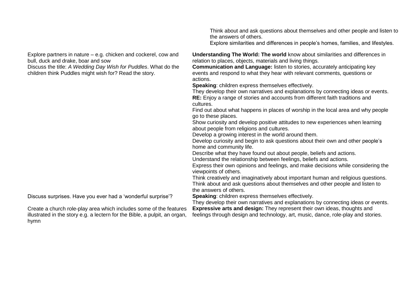Explore partners in nature – e.g. chicken and cockerel, cow and bull, duck and drake, boar and sow **Understanding The World: The world** know about similarities and differences in relation to places, objects, materials and living things. Discuss the title: *A Wedding Day Wish for Puddles*. What do the children think Puddles might wish for? Read the story. **Communication and Language:** listen to stories, accurately anticipating key events and respond to what they hear with relevant comments, questions or actions. **Speaking**: children express themselves effectively. They develop their own narratives and explanations by connecting ideas or events. **RE:** Enjoy a range of stories and accounts from different faith traditions and cultures. Find out about what happens in places of worship in the local area and why people go to these places. Show curiosity and develop positive attitudes to new experiences when learning about people from religions and cultures. Develop a growing interest in the world around them. Develop curiosity and begin to ask questions about their own and other people's home and community life. Describe what they have found out about people, beliefs and actions. Understand the relationship between feelings, beliefs and actions. Express their own opinions and feelings, and make decisions while considering the viewpoints of others. Think creatively and imaginatively about important human and religious questions. Think about and ask questions about themselves and other people and listen to the answers of others. Discuss surprises. Have you ever had a 'wonderful surprise'? **Speaking**: children express themselves effectively. They develop their own narratives and explanations by connecting ideas or events. Create a church role-play area which includes some of the features illustrated in the story e.g. a lectern for the Bible, a pulpit, an organ, **Expressive arts and design:** They represent their own ideas, thoughts and feelings through design and technology, art, music, dance, role-play and stories.

hymn

the answers of others.

Think about and ask questions about themselves and other people and listen to

Explore similarities and differences in people's homes, families, and lifestyles.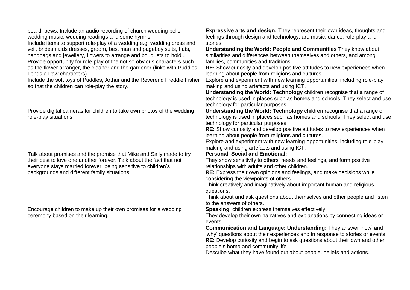board, pews. Include an audio recording of church wedding bells, wedding music, wedding readings and some hymns. Include items to support role-play of a wedding e.g. wedding dress and veil, bridesmaids dresses, groom, best man and pageboy suits, hats, handbags and jewellery, flowers to arrange and bouquets to hold... Provide opportunity for role-play of the not so obvious characters such as the flower arranger, the cleaner and the gardener (links with Puddles Lends a Paw characters).

Include the soft toys of Puddles, Arthur and the Reverend Freddie Fisher so that the children can role-play the story.

Provide digital cameras for children to take own photos of the wedding role-play situations

Talk about promises and the promise that Mike and Sally made to try their best to love one another forever. Talk about the fact that not everyone stays married forever, being sensitive to children's backgrounds and different family situations.

Encourage children to make up their own promises for a wedding ceremony based on their learning.

**Expressive arts and design:** They represent their own ideas, thoughts and feelings through design and technology, art, music, dance, role-play and stories.

**Understanding the World: People and Communities** They know about similarities and differences between themselves and others, and among families, communities and traditions.

**RE:** Show curiosity and develop positive attitudes to new experiences when learning about people from religions and cultures.

Explore and experiment with new learning opportunities, including role-play, making and using artefacts and using ICT.

**Understanding the World: Technology** children recognise that a range of technology is used in places such as homes and schools. They select and use technology for particular purposes.

**Understanding the World: Technology** children recognise that a range of technology is used in places such as homes and schools. They select and use technology for particular purposes.

**RE:** Show curiosity and develop positive attitudes to new experiences when learning about people from religions and cultures.

Explore and experiment with new learning opportunities, including role-play, making and using artefacts and using ICT.

#### **Personal, Social and Emotional:**

They show sensitivity to others' needs and feelings, and form positive relationships with adults and other children.

**RE:** Express their own opinions and feelings, and make decisions while considering the viewpoints of others.

Think creatively and imaginatively about important human and religious questions.

Think about and ask questions about themselves and other people and listen to the answers of others.

**Speaking**: children express themselves effectively.

They develop their own narratives and explanations by connecting ideas or events.

**Communication and Language: Understanding:** They answer 'how' and 'why' questions about their experiences and in response to stories or events. **RE:** Develop curiosity and begin to ask questions about their own and other people's home and community life.

Describe what they have found out about people, beliefs and actions.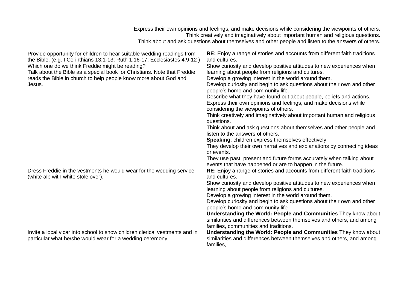Express their own opinions and feelings, and make decisions while considering the viewpoints of others. Think creatively and imaginatively about important human and religious questions. Think about and ask questions about themselves and other people and listen to the answers of others. Provide opportunity for children to hear suitable wedding readings from the Bible. (e.g. I Corinthians 13:1-13; Ruth 1:16-17; Ecclesiastes 4:9-12 ) Which one do we think Freddie might be reading? Talk about the Bible as a special book for Christians. Note that Freddie reads the Bible in church to help people know more about God and Jesus. **RE:** Enjoy a range of stories and accounts from different faith traditions and cultures. Show curiosity and develop positive attitudes to new experiences when learning about people from religions and cultures. Develop a growing interest in the world around them. Develop curiosity and begin to ask questions about their own and other people's home and community life. Describe what they have found out about people, beliefs and actions. Express their own opinions and feelings, and make decisions while considering the viewpoints of others. Think creatively and imaginatively about important human and religious questions. Think about and ask questions about themselves and other people and listen to the answers of others. **Speaking**: children express themselves effectively. They develop their own narratives and explanations by connecting ideas or events. They use past, present and future forms accurately when talking about events that have happened or are to happen in the future. Dress Freddie in the vestments he would wear for the wedding service (white alb with white stole over). **RE:** Enjoy a range of stories and accounts from different faith traditions and cultures. Show curiosity and develop positive attitudes to new experiences when learning about people from religions and cultures. Develop a growing interest in the world around them. Develop curiosity and begin to ask questions about their own and other people's home and community life. **Understanding the World: People and Communities** They know about similarities and differences between themselves and others, and among families, communities and traditions. Invite a local vicar into school to show children clerical vestments and in particular what he/she would wear for a wedding ceremony. **Understanding the World: People and Communities** They know about similarities and differences between themselves and others, and among families,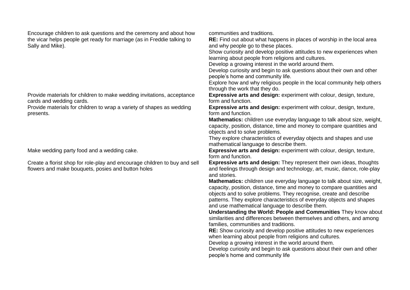Encourage children to ask questions and the ceremony and about how the vicar helps people get ready for marriage (as in Freddie talking to Sally and Mike).

Provide materials for children to make wedding invitations, acceptance cards and wedding cards.

Provide materials for children to wrap a variety of shapes as wedding presents.

Create a florist shop for role-play and encourage children to buy and sell flowers and make bouquets, posies and button holes

communities and traditions.

**RE:** Find out about what happens in places of worship in the local area and why people go to these places.

Show curiosity and develop positive attitudes to new experiences when learning about people from religions and cultures.

Develop a growing interest in the world around them.

Develop curiosity and begin to ask questions about their own and other people's home and community life.

Explore how and why religious people in the local community help others through the work that they do.

**Expressive arts and design:** experiment with colour, design, texture, form and function.

**Expressive arts and design:** experiment with colour, design, texture, form and function.

**Mathematics:** children use everyday language to talk about size, weight, capacity, position, distance, time and money to compare quantities and objects and to solve problems.

They explore characteristics of everyday objects and shapes and use mathematical language to describe them.

Make wedding party food and a wedding cake. **Expressive arts and design:** experiment with colour, design, texture, form and function.

**Expressive arts and design:** They represent their own ideas, thoughts and feelings through design and technology, art, music, dance, role-play and stories.

**Mathematics:** children use everyday language to talk about size, weight, capacity, position, distance, time and money to compare quantities and objects and to solve problems. They recognise, create and describe patterns. They explore characteristics of everyday objects and shapes and use mathematical language to describe them.

**Understanding the World: People and Communities** They know about similarities and differences between themselves and others, and among families, communities and traditions.

**RE:** Show curiosity and develop positive attitudes to new experiences when learning about people from religions and cultures.

Develop a growing interest in the world around them.

Develop curiosity and begin to ask questions about their own and other people's home and community life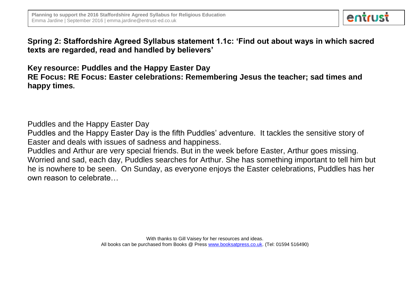

**Spring 2: Staffordshire Agreed Syllabus statement 1.1c: 'Find out about ways in which sacred texts are regarded, read and handled by believers'**

**Key resource: Puddles and the Happy Easter Day RE Focus: RE Focus: Easter celebrations: Remembering Jesus the teacher; sad times and happy times.** 

Puddles and the Happy Easter Day

Puddles and the Happy Easter Day is the fifth Puddles' adventure. It tackles the sensitive story of Easter and deals with issues of sadness and happiness.

Puddles and Arthur are very special friends. But in the week before Easter, Arthur goes missing. Worried and sad, each day, Puddles searches for Arthur. She has something important to tell him but he is nowhere to be seen. On Sunday, as everyone enjoys the Easter celebrations, Puddles has her own reason to celebrate…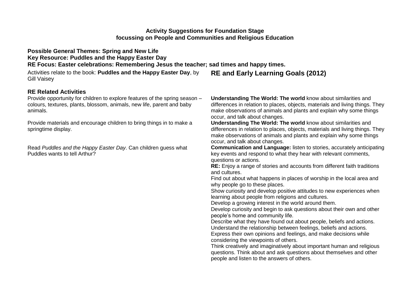## **Activity Suggestions for Foundation Stage focussing on People and Communities and Religious Education**

**Possible General Themes: Spring and New Life Key Resource: Puddles and the Happy Easter Day RE Focus: Easter celebrations: Remembering Jesus the teacher; sad times and happy times.** 

Activities relate to the book: **Puddles and the Happy Easter Day**, by Gill Vaisey

### **RE Related Activities**

Provide opportunity for children to explore features of the spring season – colours, textures, plants, blossom, animals, new life, parent and baby animals.

Provide materials and encourage children to bring things in to make a springtime display.

Read *Puddles and the Happy Easter Day*. Can children guess what Puddles wants to tell Arthur?

**Understanding The World: The world** know about similarities and differences in relation to places, objects, materials and living things. They make observations of animals and plants and explain why some things occur, and talk about changes.

**Understanding The World: The world** know about similarities and differences in relation to places, objects, materials and living things. They make observations of animals and plants and explain why some things occur, and talk about changes.

**Communication and Language:** listen to stories, accurately anticipating key events and respond to what they hear with relevant comments, questions or actions.

**RE:** Enjoy a range of stories and accounts from different faith traditions and cultures.

Find out about what happens in places of worship in the local area and why people go to these places.

Show curiosity and develop positive attitudes to new experiences when learning about people from religions and cultures.

Develop a growing interest in the world around them.

**RE and Early Learning Goals (2012)** 

Develop curiosity and begin to ask questions about their own and other people's home and community life.

Describe what they have found out about people, beliefs and actions. Understand the relationship between feelings, beliefs and actions. Express their own opinions and feelings, and make decisions while considering the viewpoints of others.

Think creatively and imaginatively about important human and religious questions. Think about and ask questions about themselves and other people and listen to the answers of others.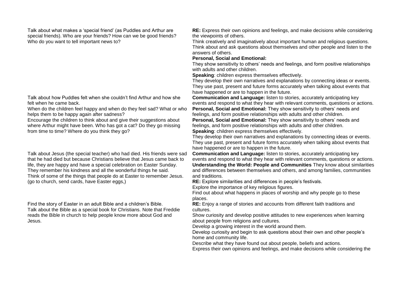Talk about what makes a 'special friend' (as Puddles and Arthur are special friends). Who are your friends? How can we be good friends? Who do you want to tell important news to?

Talk about how Puddles felt when she couldn't find Arthur and how she felt when he came back.

When do the children feel happy and when do they feel sad? What or who helps them to be happy again after sadness?

Encourage the children to think about and give their suggestions about where Arthur might have been. Who has got a cat? Do they go missing from time to time? Where do you think they go?

Talk about Jesus (the special teacher) who had died. His friends were sad that he had died but because Christians believe that Jesus came back to life, they are happy and have a special celebration on Easter Sunday. They remember his kindness and all the wonderful things he said. Think of some of the things that people do at Easter to remember Jesus. (go to church, send cards, have Easter eggs,)

Find the story of Easter in an adult Bible and a children's Bible. Talk about the Bible as a special book for Christians. Note that Freddie reads the Bible in church to help people know more about God and Jesus.

**RE:** Express their own opinions and feelings, and make decisions while considering the viewpoints of others.

Think creatively and imaginatively about important human and religious questions. Think about and ask questions about themselves and other people and listen to the answers of others.

#### **Personal, Social and Emotional:**

They show sensitivity to others' needs and feelings, and form positive relationships with adults and other children.

**Speaking**: children express themselves effectively.

They develop their own narratives and explanations by connecting ideas or events. They use past, present and future forms accurately when talking about events that have happened or are to happen in the future.

**Communication and Language:** listen to stories, accurately anticipating key events and respond to what they hear with relevant comments, questions or actions. **Personal, Social and Emotional:** They show sensitivity to others' needs and feelings, and form positive relationships with adults and other children.

**Personal, Social and Emotional:** They show sensitivity to others' needs and feelings, and form positive relationships with adults and other children. **Speaking**: children express themselves effectively.

They develop their own narratives and explanations by connecting ideas or events. They use past, present and future forms accurately when talking about events that have happened or are to happen in the future.

**Communication and Language:** listen to stories, accurately anticipating key events and respond to what they hear with relevant comments, questions or actions. **Understanding the World: People and Communities** They know about similarities and differences between themselves and others, and among families, communities and traditions.

**RE:** Explore similarities and differences in people's festivals.

Explore the importance of key religious figures.

Find out about what happens in places of worship and why people go to these places.

**RE:** Enjoy a range of stories and accounts from different faith traditions and cultures.

Show curiosity and develop positive attitudes to new experiences when learning about people from religions and cultures.

Develop a growing interest in the world around them.

Develop curiosity and begin to ask questions about their own and other people's home and community life.

Describe what they have found out about people, beliefs and actions.

Express their own opinions and feelings, and make decisions while considering the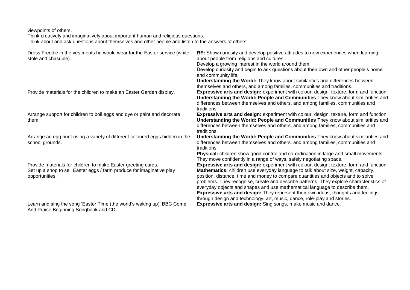viewpoints of others.

Think creatively and imaginatively about important human and religious questions. Think about and ask questions about themselves and other people and listen to the answers of others.

| Dress Freddie in the vestments he would wear for the Easter service (white<br>stole and chasuble).                                                       | <b>RE:</b> Show curiosity and develop positive attitudes to new experiences when learning<br>about people from religions and cultures.<br>Develop a growing interest in the world around them.<br>Develop curiosity and begin to ask questions about their own and other people's home<br>and community life.<br>Understanding the World: They know about similarities and differences between<br>themselves and others, and among families, communities and traditions.                                                                                                                                            |
|----------------------------------------------------------------------------------------------------------------------------------------------------------|---------------------------------------------------------------------------------------------------------------------------------------------------------------------------------------------------------------------------------------------------------------------------------------------------------------------------------------------------------------------------------------------------------------------------------------------------------------------------------------------------------------------------------------------------------------------------------------------------------------------|
| Provide materials for the children to make an Easter Garden display.                                                                                     | Expressive arts and design: experiment with colour, design, texture, form and function.<br>Understanding the World: People and Communities They know about similarities and<br>differences between themselves and others, and among families, communities and<br>traditions.                                                                                                                                                                                                                                                                                                                                        |
| Arrange support for children to boil eggs and dye or paint and decorate<br>them.                                                                         | Expressive arts and design: experiment with colour, design, texture, form and function.<br>Understanding the World: People and Communities They know about similarities and<br>differences between themselves and others, and among families, communities and<br>traditions.                                                                                                                                                                                                                                                                                                                                        |
| Arrange an egg hunt using a variety of different coloured eggs hidden in the<br>school grounds.                                                          | Understanding the World: People and Communities They know about similarities and<br>differences between themselves and others, and among families, communities and<br>traditions.<br>Physical: children show good control and co-ordination in large and small movements.<br>They move confidently in a range of ways, safely negotiating space.                                                                                                                                                                                                                                                                    |
| Provide materials for children to make Easter greeting cards.<br>Set up a shop to sell Easter eggs / farm produce for imaginative play<br>opportunities. | Expressive arts and design: experiment with colour, design, texture, form and function.<br>Mathematics: children use everyday language to talk about size, weight, capacity,<br>position, distance, time and money to compare quantities and objects and to solve<br>problems. They recognise, create and describe patterns. They explore characteristics of<br>everyday objects and shapes and use mathematical language to describe them.<br><b>Expressive arts and design:</b> They represent their own ideas, thoughts and feelings<br>through design and technology, art, music, dance, role-play and stories. |
| Learn and sing the song 'Easter Time (the world's waking up)' BBC Come                                                                                   | <b>Expressive arts and design:</b> Sing songs, make music and dance.                                                                                                                                                                                                                                                                                                                                                                                                                                                                                                                                                |

And Praise Beginning Songbook and CD.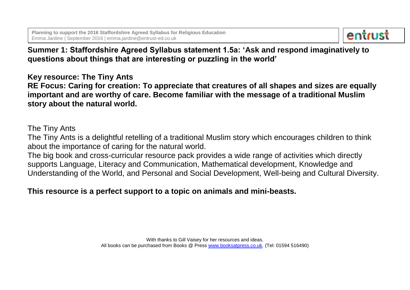

# **Summer 1: Staffordshire Agreed Syllabus statement 1.5a: 'Ask and respond imaginatively to questions about things that are interesting or puzzling in the world'**

**Key resource: The Tiny Ants**

**RE Focus: Caring for creation: To appreciate that creatures of all shapes and sizes are equally important and are worthy of care. Become familiar with the message of a traditional Muslim story about the natural world.** 

## The Tiny Ants

The Tiny Ants is a delightful retelling of a traditional Muslim story which encourages children to think about the importance of caring for the natural world.

The big book and cross-curricular resource pack provides a wide range of activities which directly supports Language, Literacy and Communication, Mathematical development, Knowledge and Understanding of the World, and Personal and Social Development, Well-being and Cultural Diversity.

# **This resource is a perfect support to a topic on animals and mini-beasts.**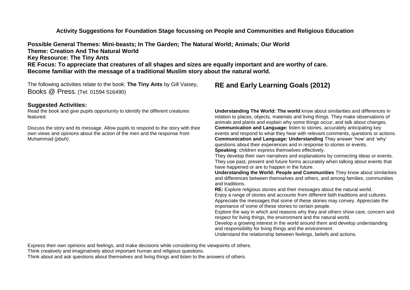**Activity Suggestions for Foundation Stage focussing on People and Communities and Religious Education**

**Possible General Themes: Mini-beasts; In The Garden; The Natural World; Animals; Our World Theme: Creation And The Natural World Key Resource: The Tiny Ants RE Focus: To appreciate that creatures of all shapes and sizes are equally important and are worthy of care. Become familiar with the message of a traditional Muslim story about the natural world.** 

The following activities relate to the book: **The Tiny Ants** by Gill Vaisey, Books @ Press. (Tel: 01594 516490)

### **Suggested Activities:**

Read the book and give pupils opportunity to identify the different creatures featured.

Discuss the story and its message. Allow pupils to respond to the story with their own views and opinions about the action of the men and the response from Muhammad *(pbuh)*.

## **RE and Early Learning Goals (2012)**

**Understanding The World: The world** know about similarities and differences in relation to places, objects, materials and living things. They make observations of animals and plants and explain why some things occur, and talk about changes. **Communication and Language:** listen to stories, accurately anticipating key events and respond to what they hear with relevant comments, questions or actions. **Communication and Language: Understanding** They answer 'how' and 'why' questions about their experiences and in response to stories or events. **Speaking**: children express themselves effectively.

They develop their own narratives and explanations by connecting ideas or events. They use past, present and future forms accurately when talking about events that have happened or are to happen in the future.

**Understanding the World: People and Communities** They know about similarities and differences between themselves and others, and among families, communities and traditions.

**RE:** Explore religious stories and their messages about the natural world. Enjoy a range of stories and accounts from different faith traditions and cultures. Appreciate the messages that some of these stories may convey. Appreciate the importance of some of these stories to certain people.

Explore the way in which and reasons why they and others show care, concern and respect for living things, the environment and the natural world.

Develop a growing interest in the world around them and develop understanding and responsibility for living things and the environment.

Understand the relationship between feelings, beliefs and actions.

Express their own opinions and feelings, and make decisions while considering the viewpoints of others.

Think creatively and imaginatively about important human and religious questions.

Think about and ask questions about themselves and living things and listen to the answers of others.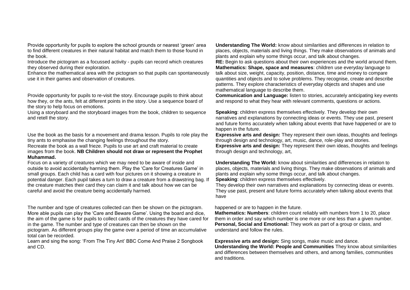Provide opportunity for pupils to explore the school grounds or nearest 'green' area to find different creatures in their natural habitat and match them to those found in the book.

Introduce the pictogram as a focussed activity - pupils can record which creatures they observed during their exploration.

Enhance the mathematical area with the pictogram so that pupils can spontaneously use it in their games and observation of creatures.

Provide opportunity for pupils to re-visit the story. Encourage pupils to think about how they, or the ants, felt at different points in the story. Use a sequence board of the story to help focus on emotions.

Using a storyboard and the storyboard images from the book, children to sequence and retell the story.

Use the book as the basis for a movement and drama lesson. Pupils to role play the tiny ants to emphasise the changing feelings throughout the story.

Recreate the book as a wall frieze. Pupils to use art and craft material to create images from the book. **NB Children should not draw or represent the Prophet Muhammad.** 

Focus on a variety of creatures which we may need to be aware of inside and outside to avoid accidentally harming them. Play the 'Care for Creatures Game' in small groups. Each child has a card with four pictures on it showing a creature in potential danger. Each pupil takes a turn to draw a creature from a drawstring bag. If the creature matches their card they can claim it and talk about how we can be careful and avoid the creature being accidentally harmed.

The number and type of creatures collected can then be shown on the pictogram. happened or are to happen in the future. More able pupils can play the 'Care and Beware Game'. Using the board and dice, the aim of the game is for pupils to collect cards of the creatures they have cared for in the game. The number and type of creatures can then be shown on the pictogram. As different groups play the game over a period of time an accumulative total can be recorded.

Learn and sing the song: 'From The Tiny Ant' BBC Come And Praise 2 Songbook and CD.

**Understanding The World:** know about similarities and differences in relation to places, objects, materials and living things. They make observations of animals and plants and explain why some things occur, and talk about changes.

**RE:** Begin to ask questions about their own experiences and the world around them. **Mathematics: Shape, space and measures**: children use everyday language to talk about size, weight, capacity, position, distance, time and money to compare quantities and objects and to solve problems. They recognise, create and describe patterns. They explore characteristics of everyday objects and shapes and use mathematical language to describe them.

**Communication and Language:** listen to stories, accurately anticipating key events and respond to what they hear with relevant comments, questions or actions.

**Speaking**: children express themselves effectively. They develop their own narratives and explanations by connecting ideas or events. They use past, present and future forms accurately when talking about events that have happened or are to happen in the future.

**Expressive arts and design:** They represent their own ideas, thoughts and feelings through design and technology, art, music, dance, role-play and stories. **Expressive arts and design:** They represent their own ideas, thoughts and feelings through design and technology, art,

**Understanding The World:** know about similarities and differences in relation to places, objects, materials and living things. They make observations of animals and plants and explain why some things occur, and talk about changes. **Speaking**: children express themselves effectively.

They develop their own narratives and explanations by connecting ideas or events. They use past, present and future forms accurately when talking about events that have

**Mathematics: Numbers**: children count reliably with numbers from 1 to 20, place them in order and say which number is one more or one less than a given number. **Personal, Social and Emotional:** They work as part of a group or class, and understand and follow the rules.

**Expressive arts and design:** Sing songs, make music and dance.

**Understanding the World: People and Communities** They know about similarities and differences between themselves and others, and among families, communities and traditions.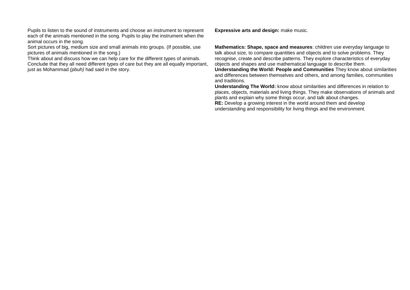Pupils to listen to the sound of instruments and choose an instrument to represent each of the animals mentioned in the song. Pupils to play the instrument when the animal occurs in the song.

Sort pictures of big, medium size and small animals into groups. (If possible, use pictures of animals mentioned in the song.)

Think about and discuss how we can help care for the different types of animals. Conclude that they all need different types of care but they are all equally important, just as Mohammad *(pbuh)* had said in the story.

**Expressive arts and design:** make music.

**Mathematics: Shape, space and measures**: children use everyday language to talk about size, to compare quantities and objects and to solve problems. They recognise, create and describe patterns. They explore characteristics of everyday objects and shapes and use mathematical language to describe them.

**Understanding the World: People and Communities** They know about similarities and differences between themselves and others, and among families, communities and traditions.

**Understanding The World:** know about similarities and differences in relation to places, objects, materials and living things. They make observations of animals and plants and explain why some things occur, and talk about changes. **RE:** Develop a growing interest in the world around them and develop understanding and responsibility for living things and the environment.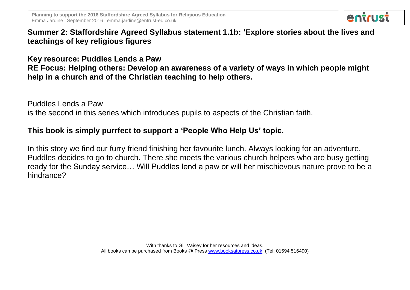

**Summer 2: Staffordshire Agreed Syllabus statement 1.1b: 'Explore stories about the lives and teachings of key religious figures**

**Key resource: Puddles Lends a Paw RE Focus: Helping others: Develop an awareness of a variety of ways in which people might help in a church and of the Christian teaching to help others.** 

Puddles Lends a Paw

is the second in this series which introduces pupils to aspects of the Christian faith.

## **This book is simply purrfect to support a 'People Who Help Us' topic.**

In this story we find our furry friend finishing her favourite lunch. Always looking for an adventure, Puddles decides to go to church. There she meets the various church helpers who are busy getting ready for the Sunday service… Will Puddles lend a paw or will her mischievous nature prove to be a hindrance?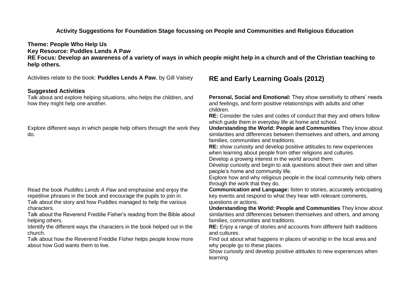## **Activity Suggestions for Foundation Stage focussing on People and Communities and Religious Education**

**Theme: People Who Help Us Key Resource: Puddles Lends A Paw RE Focus: Develop an awareness of a variety of ways in which people might help in a church and of the Christian teaching to help others.** 

Activities relate to the book: **Puddles Lends A Paw**, by Gill Vaisey

#### **Suggested Activities**

Talk about and explore helping situations, who helps the children, and how they might help one another.

Explore different ways in which people help others through the work they do.

Read the book *Puddles Lends A Paw* and emphasise and enjoy the repetitive phrases in the book and encourage the pupils to join in. Talk about the story and how Puddles managed to help the various characters.

Talk about the Reverend Freddie Fisher's reading from the Bible about helping others.

Identify the different ways the characters in the book helped out in the church.

Talk about how the Reverend Freddie Fisher helps people know more about how God wants them to live.

## **RE and Early Learning Goals (2012)**

**Personal, Social and Emotional:** They show sensitivity to others' needs and feelings, and form positive relationships with adults and other children.

**RE:** Consider the rules and codes of conduct that they and others follow which guide them in everyday life at home and school.

**Understanding the World: People and Communities** They know about similarities and differences between themselves and others, and among families, communities and traditions.

**RE:** show curiosity and develop positive attitudes to new experiences when learning about people from other religions and cultures.

Develop a growing interest in the world around them.

Develop curiosity and begin to ask questions about their own and other people's home and community life.

Explore how and why religious people in the local community help others through the work that they do.

**Communication and Language:** listen to stories, accurately anticipating key events and respond to what they hear with relevant comments, questions or actions.

**Understanding the World: People and Communities** They know about similarities and differences between themselves and others, and among families, communities and traditions.

**RE:** Enjoy a range of stories and accounts from different faith traditions and cultures.

Find out about what happens in places of worship in the local area and why people go to these places.

Show curiosity and develop positive attitudes to new experiences when learning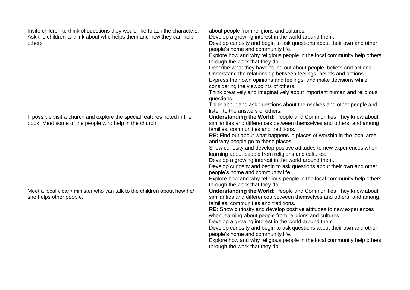Invite children to think of questions they would like to ask the characters. Ask the children to think about who helps them and how they can help others.

If possible visit a church and explore the special features noted in the book. Meet some of the people who help in the church.

Meet a local vicar / minister who can talk to the children about how he/ she helps other people.

about people from religions and cultures.

Develop a growing interest in the world around them.

Develop curiosity and begin to ask questions about their own and other people's home and community life.

Explore how and why religious people in the local community help others through the work that they do.

Describe what they have found out about people, beliefs and actions. Understand the relationship between feelings, beliefs and actions. Express their own opinions and feelings, and make decisions while

considering the viewpoints of others.

Think creatively and imaginatively about important human and religious questions.

Think about and ask questions about themselves and other people and listen to the answers of others.

**Understanding the World:** People and Communities They know about similarities and differences between themselves and others, and among families, communities and traditions.

**RE:** Find out about what happens in places of worship in the local area and why people go to these places.

Show curiosity and develop positive attitudes to new experiences when learning about people from religions and cultures.

Develop a growing interest in the world around them.

Develop curiosity and begin to ask questions about their own and other people's home and community life.

Explore how and why religious people in the local community help others through the work that they do.

**Understanding the World:** People and Communities They know about similarities and differences between themselves and others, and among families, communities and traditions.

**RE:** Show curiosity and develop positive attitudes to new experiences when learning about people from religions and cultures.

Develop a growing interest in the world around them.

Develop curiosity and begin to ask questions about their own and other people's home and community life.

Explore how and why religious people in the local community help others through the work that they do.